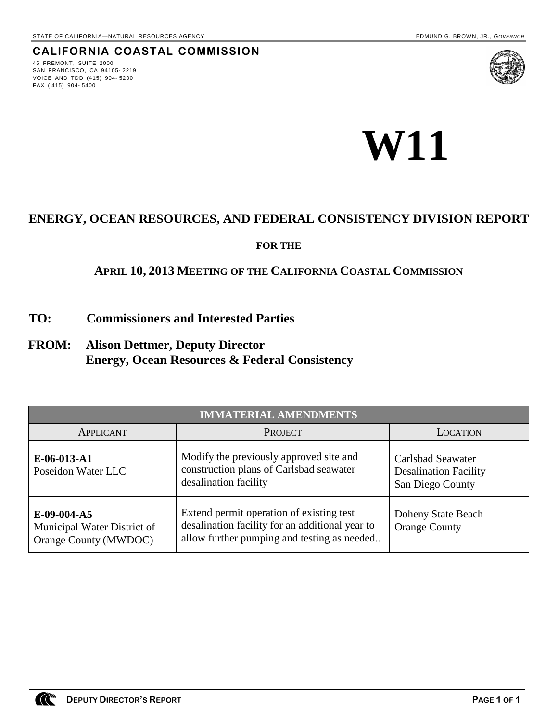## **CALIFORNIA COASTAL COMMISSION**

45 FREMONT, SUITE 2000 SAN FRANCISCO, CA 94105- 2219 VOICE AND TDD (415) 904- 5200 FAX ( 415) 904- 5400





# **ENERGY, OCEAN RESOURCES, AND FEDERAL CONSISTENCY DIVISION REPORT**

**FOR THE**

## **APRIL 10, 2013 MEETING OF THE CALIFORNIA COASTAL COMMISSION**

**TO: Commissioners and Interested Parties**

# **FROM: Alison Dettmer, Deputy Director Energy, Ocean Resources & Federal Consistency**

| <b>IMMATERIAL AMENDMENTS</b>                                           |                                                                                                                                            |                                                                       |
|------------------------------------------------------------------------|--------------------------------------------------------------------------------------------------------------------------------------------|-----------------------------------------------------------------------|
| APPLICANT                                                              | <b>PROJECT</b>                                                                                                                             | LOCATION                                                              |
| $E-06-013- A1$<br>Poseidon Water LLC                                   | Modify the previously approved site and<br>construction plans of Carlsbad seawater<br>desalination facility                                | Carlsbad Seawater<br><b>Desalination Facility</b><br>San Diego County |
| $E-09-004- A5$<br>Municipal Water District of<br>Orange County (MWDOC) | Extend permit operation of existing test<br>desalination facility for an additional year to<br>allow further pumping and testing as needed | Doheny State Beach<br><b>Orange County</b>                            |

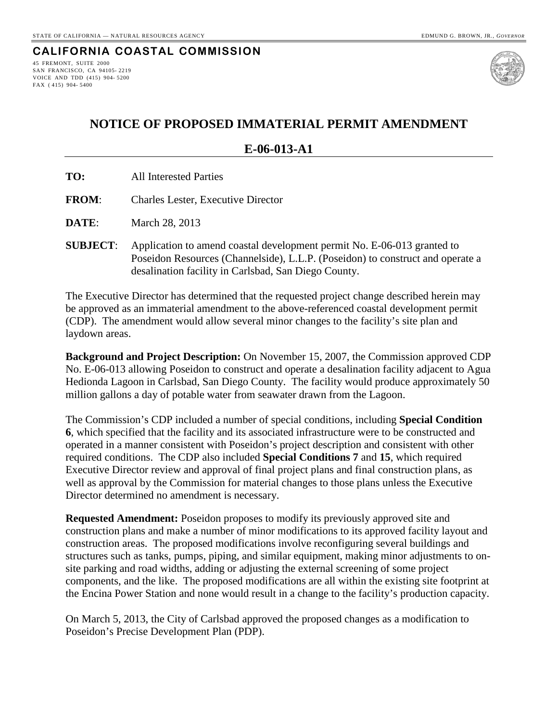#### **CALIFORNIA COASTAL COMMISSION** 45 FREMONT, SUITE 2000

SAN FRANCISCO, CA 94105- 2219 VOICE AND TDD (415) 904- 5200 FAX ( 415) 904- 5400



# **NOTICE OF PROPOSED IMMATERIAL PERMIT AMENDMENT**

**E-06-013-A1**

- **TO:** All Interested Parties
- **FROM**: Charles Lester, Executive Director
- **DATE**: March 28, 2013
- **SUBJECT**: Application to amend coastal development permit No. E-06-013 granted to Poseidon Resources (Channelside), L.L.P. (Poseidon) to construct and operate a desalination facility in Carlsbad, San Diego County.

The Executive Director has determined that the requested project change described herein may be approved as an immaterial amendment to the above-referenced coastal development permit (CDP). The amendment would allow several minor changes to the facility's site plan and laydown areas.

**Background and Project Description:** On November 15, 2007, the Commission approved CDP No. E-06-013 allowing Poseidon to construct and operate a desalination facility adjacent to Agua Hedionda Lagoon in Carlsbad, San Diego County. The facility would produce approximately 50 million gallons a day of potable water from seawater drawn from the Lagoon.

The Commission's CDP included a number of special conditions, including **Special Condition 6**, which specified that the facility and its associated infrastructure were to be constructed and operated in a manner consistent with Poseidon's project description and consistent with other required conditions. The CDP also included **Special Conditions 7** and **15**, which required Executive Director review and approval of final project plans and final construction plans, as well as approval by the Commission for material changes to those plans unless the Executive Director determined no amendment is necessary.

**Requested Amendment:** Poseidon proposes to modify its previously approved site and construction plans and make a number of minor modifications to its approved facility layout and construction areas. The proposed modifications involve reconfiguring several buildings and structures such as tanks, pumps, piping, and similar equipment, making minor adjustments to onsite parking and road widths, adding or adjusting the external screening of some project components, and the like. The proposed modifications are all within the existing site footprint at the Encina Power Station and none would result in a change to the facility's production capacity.

On March 5, 2013, the City of Carlsbad approved the proposed changes as a modification to Poseidon's Precise Development Plan (PDP).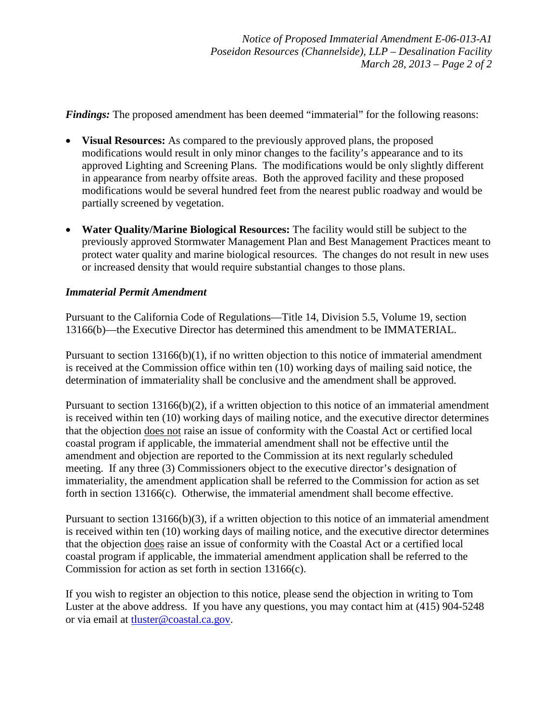*Findings:* The proposed amendment has been deemed "immaterial" for the following reasons:

- **Visual Resources:** As compared to the previously approved plans, the proposed modifications would result in only minor changes to the facility's appearance and to its approved Lighting and Screening Plans. The modifications would be only slightly different in appearance from nearby offsite areas. Both the approved facility and these proposed modifications would be several hundred feet from the nearest public roadway and would be partially screened by vegetation.
- **Water Quality/Marine Biological Resources:** The facility would still be subject to the previously approved Stormwater Management Plan and Best Management Practices meant to protect water quality and marine biological resources. The changes do not result in new uses or increased density that would require substantial changes to those plans.

#### *Immaterial Permit Amendment*

Pursuant to the California Code of Regulations—Title 14, Division 5.5, Volume 19, section 13166(b)—the Executive Director has determined this amendment to be IMMATERIAL.

Pursuant to section 13166(b)(1), if no written objection to this notice of immaterial amendment is received at the Commission office within ten (10) working days of mailing said notice, the determination of immateriality shall be conclusive and the amendment shall be approved.

Pursuant to section 13166(b)(2), if a written objection to this notice of an immaterial amendment is received within ten (10) working days of mailing notice, and the executive director determines that the objection does not raise an issue of conformity with the Coastal Act or certified local coastal program if applicable, the immaterial amendment shall not be effective until the amendment and objection are reported to the Commission at its next regularly scheduled meeting. If any three (3) Commissioners object to the executive director's designation of immateriality, the amendment application shall be referred to the Commission for action as set forth in section 13166(c). Otherwise, the immaterial amendment shall become effective.

Pursuant to section 13166(b)(3), if a written objection to this notice of an immaterial amendment is received within ten (10) working days of mailing notice, and the executive director determines that the objection does raise an issue of conformity with the Coastal Act or a certified local coastal program if applicable, the immaterial amendment application shall be referred to the Commission for action as set forth in section 13166(c).

If you wish to register an objection to this notice, please send the objection in writing to Tom Luster at the above address. If you have any questions, you may contact him at (415) 904-5248 or via email at [tluster@coastal.ca.gov.](mailto:tluster@coastal.ca.gov)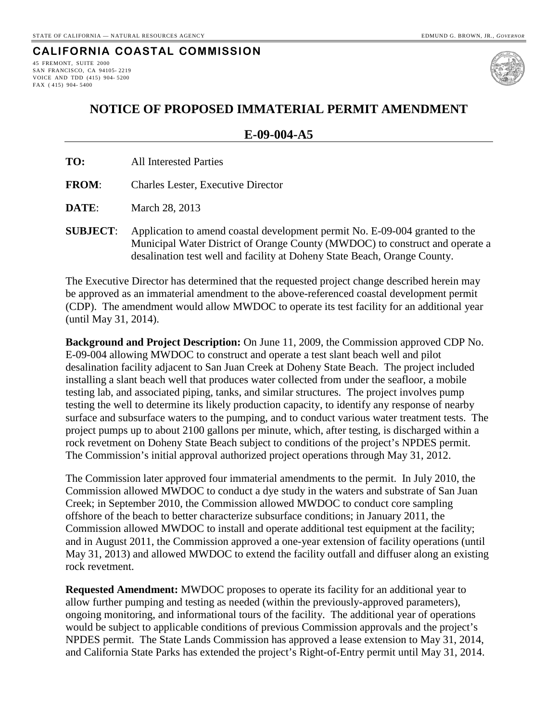### **CALIFORNIA COASTAL COMMISSION**

45 FREMONT, SUITE 2000 SAN FRANCISCO, CA 94105- 2219 VOICE AND TDD (415) 904- 5200 FAX ( 415) 904- 5400



## **NOTICE OF PROPOSED IMMATERIAL PERMIT AMENDMENT**

#### **E-09-004-A5**

**FROM**: Charles Lester, Executive Director

**DATE**: March 28, 2013

**SUBJECT**: Application to amend coastal development permit No. E-09-004 granted to the Municipal Water District of Orange County (MWDOC) to construct and operate a desalination test well and facility at Doheny State Beach, Orange County.

The Executive Director has determined that the requested project change described herein may be approved as an immaterial amendment to the above-referenced coastal development permit (CDP). The amendment would allow MWDOC to operate its test facility for an additional year (until May 31, 2014).

**Background and Project Description:** On June 11, 2009, the Commission approved CDP No. E-09-004 allowing MWDOC to construct and operate a test slant beach well and pilot desalination facility adjacent to San Juan Creek at Doheny State Beach. The project included installing a slant beach well that produces water collected from under the seafloor, a mobile testing lab, and associated piping, tanks, and similar structures. The project involves pump testing the well to determine its likely production capacity, to identify any response of nearby surface and subsurface waters to the pumping, and to conduct various water treatment tests. The project pumps up to about 2100 gallons per minute, which, after testing, is discharged within a rock revetment on Doheny State Beach subject to conditions of the project's NPDES permit. The Commission's initial approval authorized project operations through May 31, 2012.

The Commission later approved four immaterial amendments to the permit. In July 2010, the Commission allowed MWDOC to conduct a dye study in the waters and substrate of San Juan Creek; in September 2010, the Commission allowed MWDOC to conduct core sampling offshore of the beach to better characterize subsurface conditions; in January 2011, the Commission allowed MWDOC to install and operate additional test equipment at the facility; and in August 2011, the Commission approved a one-year extension of facility operations (until May 31, 2013) and allowed MWDOC to extend the facility outfall and diffuser along an existing rock revetment.

**Requested Amendment:** MWDOC proposes to operate its facility for an additional year to allow further pumping and testing as needed (within the previously-approved parameters), ongoing monitoring, and informational tours of the facility. The additional year of operations would be subject to applicable conditions of previous Commission approvals and the project's NPDES permit. The State Lands Commission has approved a lease extension to May 31, 2014, and California State Parks has extended the project's Right-of-Entry permit until May 31, 2014.